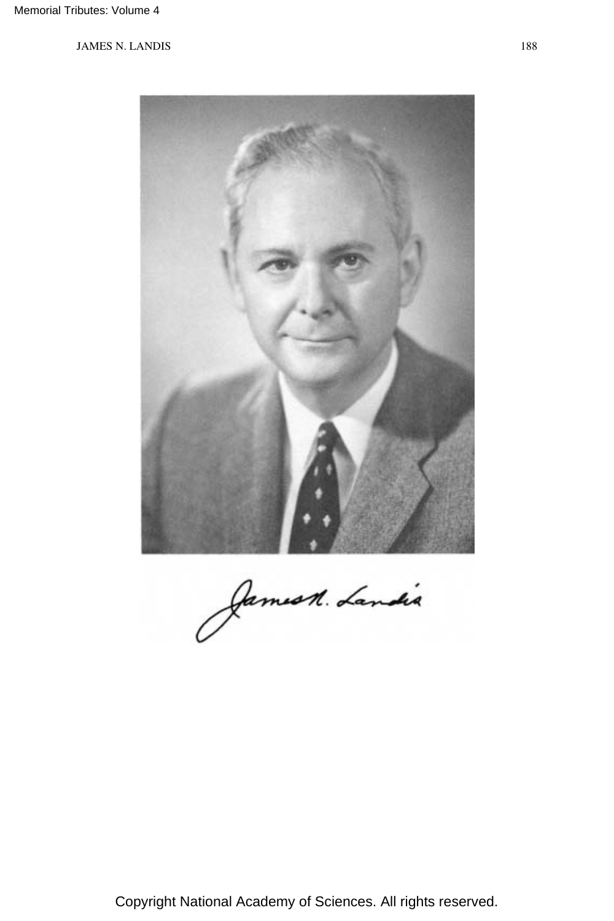

Jamest. Landia

Copyright National Academy of Sciences. All rights reserved.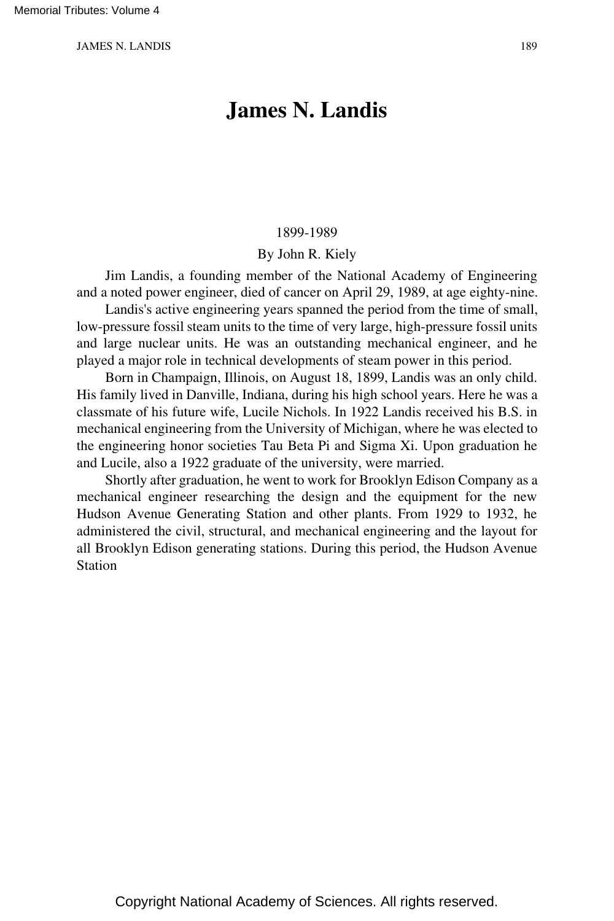# **James N. Landis**

#### 1899-1989

#### By John R. Kiely

Jim Landis, a founding member of the National Academy of Engineering and a noted power engineer, died of cancer on April 29, 1989, at age eighty-nine.

Landis's active engineering years spanned the period from the time of small, low-pressure fossil steam units to the time of very large, high-pressure fossil units and large nuclear units. He was an outstanding mechanical engineer, and he played a major role in technical developments of steam power in this period.

Born in Champaign, Illinois, on August 18, 1899, Landis was an only child. His family lived in Danville, Indiana, during his high school years. Here he was a classmate of his future wife, Lucile Nichols. In 1922 Landis received his B.S. in mechanical engineering from the University of Michigan, where he was elected to the engineering honor societies Tau Beta Pi and Sigma Xi. Upon graduation he and Lucile, also a 1922 graduate of the university, were married.

Shortly after graduation, he went to work for Brooklyn Edison Company as a mechanical engineer researching the design and the equipment for the new Hudson Avenue Generating Station and other plants. From 1929 to 1932, he administered the civil, structural, and mechanical engineering and the layout for all Brooklyn Edison generating stations. During this period, the Hudson Avenue Station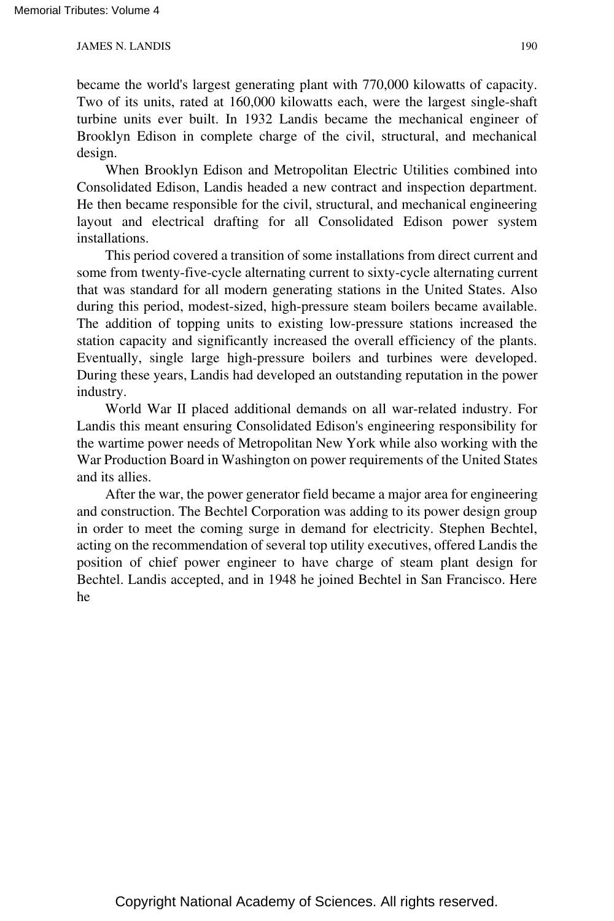became the world's largest generating plant with 770,000 kilowatts of capacity. Two of its units, rated at 160,000 kilowatts each, were the largest single-shaft turbine units ever built. In 1932 Landis became the mechanical engineer of Brooklyn Edison in complete charge of the civil, structural, and mechanical design.

When Brooklyn Edison and Metropolitan Electric Utilities combined into Consolidated Edison, Landis headed a new contract and inspection department. He then became responsible for the civil, structural, and mechanical engineering layout and electrical drafting for all Consolidated Edison power system installations.

This period covered a transition of some installations from direct current and some from twenty-five-cycle alternating current to sixty-cycle alternating current that was standard for all modern generating stations in the United States. Also during this period, modest-sized, high-pressure steam boilers became available. The addition of topping units to existing low-pressure stations increased the station capacity and significantly increased the overall efficiency of the plants. Eventually, single large high-pressure boilers and turbines were developed. During these years, Landis had developed an outstanding reputation in the power industry.

World War II placed additional demands on all war-related industry. For Landis this meant ensuring Consolidated Edison's engineering responsibility for the wartime power needs of Metropolitan New York while also working with the War Production Board in Washington on power requirements of the United States and its allies.

After the war, the power generator field became a major area for engineering and construction. The Bechtel Corporation was adding to its power design group in order to meet the coming surge in demand for electricity. Stephen Bechtel, acting on the recommendation of several top utility executives, offered Landis the position of chief power engineer to have charge of steam plant design for Bechtel. Landis accepted, and in 1948 he joined Bechtel in San Francisco. Here he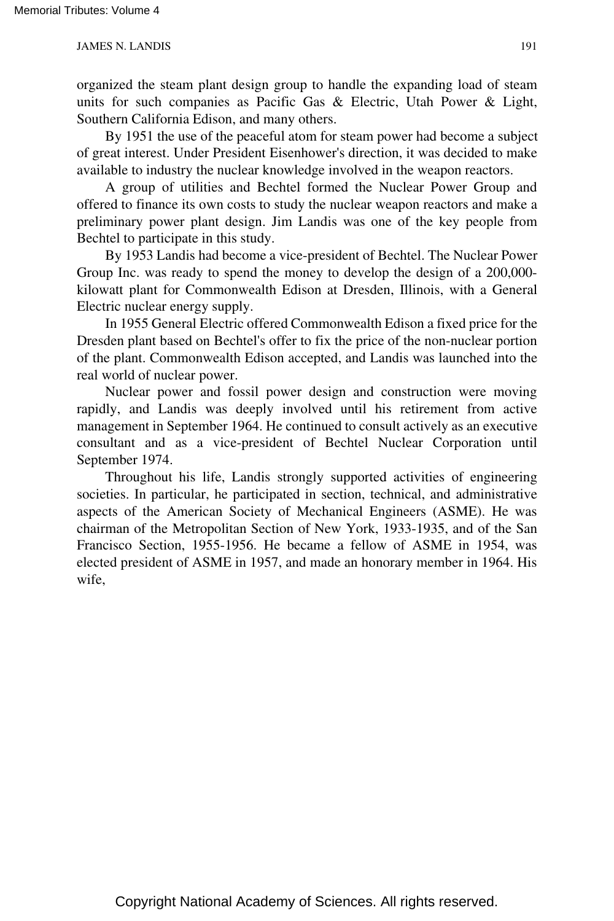organized the steam plant design group to handle the expanding load of steam units for such companies as Pacific Gas & Electric, Utah Power & Light, Southern California Edison, and many others.

By 1951 the use of the peaceful atom for steam power had become a subject of great interest. Under President Eisenhower's direction, it was decided to make available to industry the nuclear knowledge involved in the weapon reactors.

A group of utilities and Bechtel formed the Nuclear Power Group and offered to finance its own costs to study the nuclear weapon reactors and make a preliminary power plant design. Jim Landis was one of the key people from Bechtel to participate in this study.

By 1953 Landis had become a vice-president of Bechtel. The Nuclear Power Group Inc. was ready to spend the money to develop the design of a 200,000 kilowatt plant for Commonwealth Edison at Dresden, Illinois, with a General Electric nuclear energy supply.

In 1955 General Electric offered Commonwealth Edison a fixed price for the Dresden plant based on Bechtel's offer to fix the price of the non-nuclear portion of the plant. Commonwealth Edison accepted, and Landis was launched into the real world of nuclear power.

Nuclear power and fossil power design and construction were moving rapidly, and Landis was deeply involved until his retirement from active management in September 1964. He continued to consult actively as an executive consultant and as a vice-president of Bechtel Nuclear Corporation until September 1974.

Throughout his life, Landis strongly supported activities of engineering societies. In particular, he participated in section, technical, and administrative aspects of the American Society of Mechanical Engineers (ASME). He was chairman of the Metropolitan Section of New York, 1933-1935, and of the San Francisco Section, 1955-1956. He became a fellow of ASME in 1954, was elected president of ASME in 1957, and made an honorary member in 1964. His wife,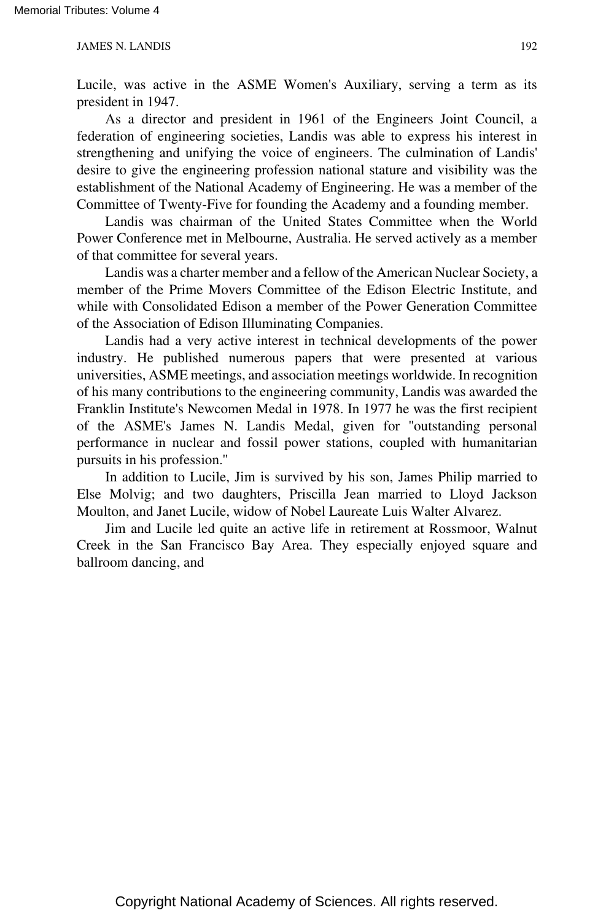Lucile, was active in the ASME Women's Auxiliary, serving a term as its president in 1947.

As a director and president in 1961 of the Engineers Joint Council, a federation of engineering societies, Landis was able to express his interest in strengthening and unifying the voice of engineers. The culmination of Landis' desire to give the engineering profession national stature and visibility was the establishment of the National Academy of Engineering. He was a member of the Committee of Twenty-Five for founding the Academy and a founding member.

Landis was chairman of the United States Committee when the World Power Conference met in Melbourne, Australia. He served actively as a member of that committee for several years.

Landis was a charter member and a fellow of the American Nuclear Society, a member of the Prime Movers Committee of the Edison Electric Institute, and while with Consolidated Edison a member of the Power Generation Committee of the Association of Edison Illuminating Companies.

Landis had a very active interest in technical developments of the power industry. He published numerous papers that were presented at various universities, ASME meetings, and association meetings worldwide. In recognition of his many contributions to the engineering community, Landis was awarded the Franklin Institute's Newcomen Medal in 1978. In 1977 he was the first recipient of the ASME's James N. Landis Medal, given for ''outstanding personal performance in nuclear and fossil power stations, coupled with humanitarian pursuits in his profession.''

In addition to Lucile, Jim is survived by his son, James Philip married to Else Molvig; and two daughters, Priscilla Jean married to Lloyd Jackson Moulton, and Janet Lucile, widow of Nobel Laureate Luis Walter Alvarez.

Jim and Lucile led quite an active life in retirement at Rossmoor, Walnut Creek in the San Francisco Bay Area. They especially enjoyed square and ballroom dancing, and